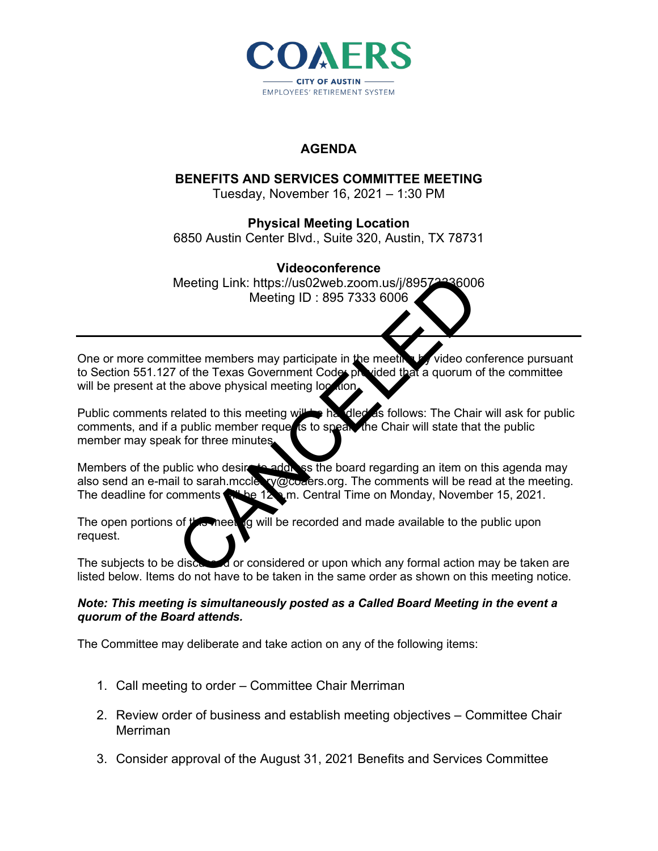

### **AGENDA**

# **BENEFITS AND SERVICES COMMITTEE MEETING**

Tuesday, November 16, 2021 – 1:30 PM

## **Physical Meeting Location**

6850 Austin Center Blvd., Suite 320, Austin, TX 78731

#### **Videoconference**

Meeting Link: https://us02web.zoom.us/j/89572336006 Meeting ID : 895 7333 6006

One or more committee members may participate in the meeting by video conference pursuant to Section 551.127 of the Texas Government Codes provided that a quorum of the committee will be present at the above physical meeting location.

Public comments related to this meeting will be handled as follows: The Chair will ask for public comments, and if a public member requests to speak, the Chair will state that the public member may speak for three minutes. Meeting Link: https://us02web.zoom.us/j/89572436000<br>
Meeting ID : 895 7333 6006<br>
CALCELED Meeting ID: 895 7333 6006<br>
The Texas Government Code provided that a quorum of<br>
the Texas Government Code provided that a quorum of<br>

Members of the public who desire to address the board regarding an item on this agenda may also send an e-mail to sarah.mccleary@coaers.org. The comments will be read at the meeting. The deadline for comments will be  $12$  m. Central Time on Monday, November 15, 2021.

The open portions of the meeting will be recorded and made available to the public upon request.

The subjects to be discussed or considered or upon which any formal action may be taken are listed below. Items do not have to be taken in the same order as shown on this meeting notice.

#### *Note: This meeting is simultaneously posted as a Called Board Meeting in the event a quorum of the Board attends.*

The Committee may deliberate and take action on any of the following items:

- 1. Call meeting to order Committee Chair Merriman
- 2. Review order of business and establish meeting objectives Committee Chair Merriman
- 3. Consider approval of the August 31, 2021 Benefits and Services Committee